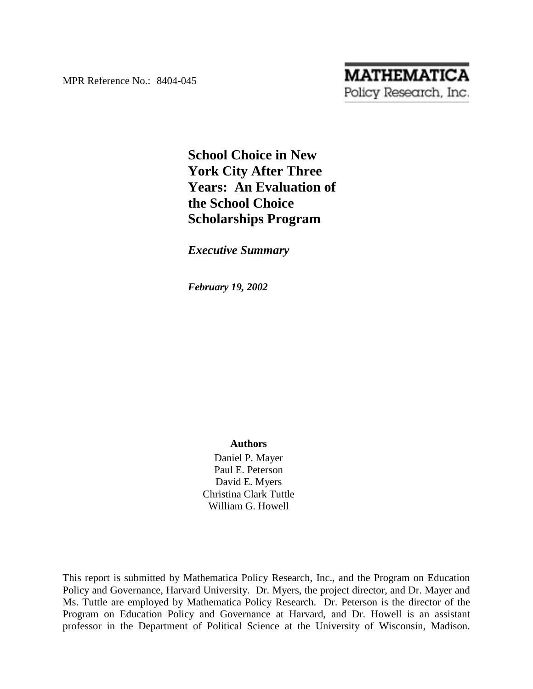MPR Reference No.: 8404-045

# **MATHEMATICA** Policy Research, Inc.

## **School Choice in New York City After Three Years: An Evaluation of the School Choice Scholarships Program**

## *Executive Summary*

*February 19, 2002* 

#### **Authors**

Daniel P. Mayer Paul E. Peterson David E. Myers Christina Clark Tuttle William G. Howell

This report is submitted by Mathematica Policy Research, Inc., and the Program on Education Policy and Governance, Harvard University. Dr. Myers, the project director, and Dr. Mayer and Ms. Tuttle are employed by Mathematica Policy Research. Dr. Peterson is the director of the Program on Education Policy and Governance at Harvard, and Dr. Howell is an assistant professor in the Department of Political Science at the University of Wisconsin, Madison.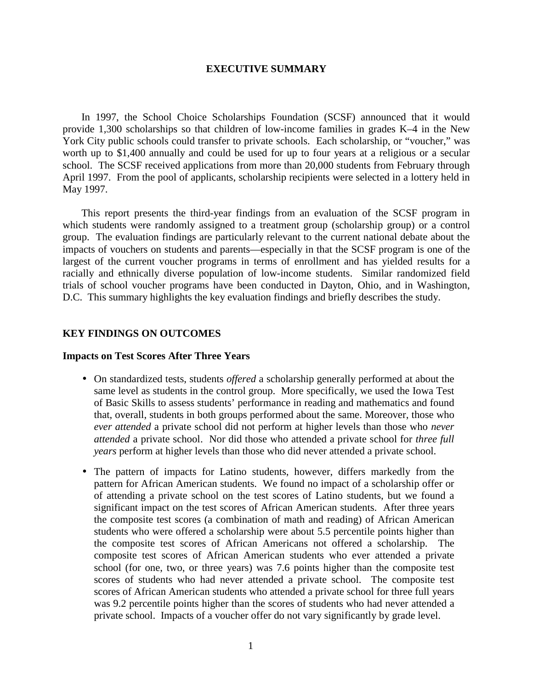#### **EXECUTIVE SUMMARY**

In 1997, the School Choice Scholarships Foundation (SCSF) announced that it would provide 1,300 scholarships so that children of low-income families in grades K–4 in the New York City public schools could transfer to private schools. Each scholarship, or "voucher," was worth up to \$1,400 annually and could be used for up to four years at a religious or a secular school. The SCSF received applications from more than 20,000 students from February through April 1997. From the pool of applicants, scholarship recipients were selected in a lottery held in May 1997.

This report presents the third-year findings from an evaluation of the SCSF program in which students were randomly assigned to a treatment group (scholarship group) or a control group. The evaluation findings are particularly relevant to the current national debate about the impacts of vouchers on students and parents—especially in that the SCSF program is one of the largest of the current voucher programs in terms of enrollment and has yielded results for a racially and ethnically diverse population of low-income students. Similar randomized field trials of school voucher programs have been conducted in Dayton, Ohio, and in Washington, D.C. This summary highlights the key evaluation findings and briefly describes the study.

#### **KEY FINDINGS ON OUTCOMES**

#### **Impacts on Test Scores After Three Years**

- On standardized tests, students *offered* a scholarship generally performed at about the same level as students in the control group. More specifically, we used the Iowa Test of Basic Skills to assess students' performance in reading and mathematics and found that, overall, students in both groups performed about the same. Moreover, those who *ever attended* a private school did not perform at higher levels than those who *never attended* a private school. Nor did those who attended a private school for *three full years* perform at higher levels than those who did never attended a private school.
- The pattern of impacts for Latino students, however, differs markedly from the pattern for African American students. We found no impact of a scholarship offer or of attending a private school on the test scores of Latino students, but we found a significant impact on the test scores of African American students. After three years the composite test scores (a combination of math and reading) of African American students who were offered a scholarship were about 5.5 percentile points higher than the composite test scores of African Americans not offered a scholarship. The composite test scores of African American students who ever attended a private school (for one, two, or three years) was 7.6 points higher than the composite test scores of students who had never attended a private school. The composite test scores of African American students who attended a private school for three full years was 9.2 percentile points higher than the scores of students who had never attended a private school. Impacts of a voucher offer do not vary significantly by grade level.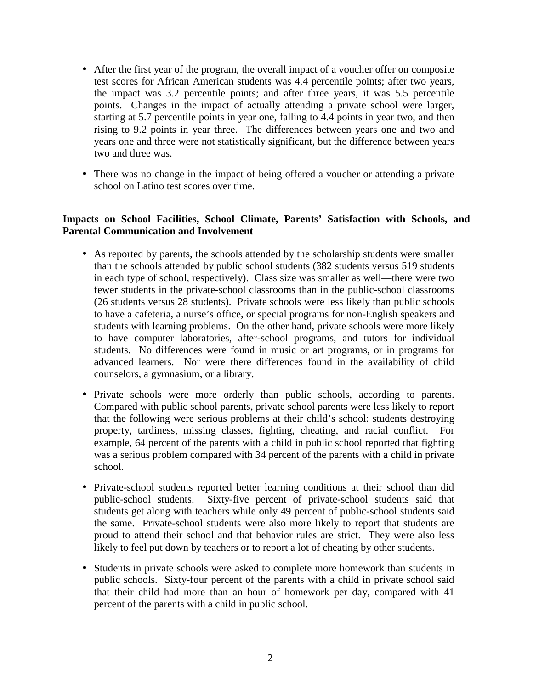- After the first year of the program, the overall impact of a voucher offer on composite test scores for African American students was 4.4 percentile points; after two years, the impact was 3.2 percentile points; and after three years, it was 5.5 percentile points. Changes in the impact of actually attending a private school were larger, starting at 5.7 percentile points in year one, falling to 4.4 points in year two, and then rising to 9.2 points in year three. The differences between years one and two and years one and three were not statistically significant, but the difference between years two and three was.
- There was no change in the impact of being offered a voucher or attending a private school on Latino test scores over time.

### **Impacts on School Facilities, School Climate, Parents' Satisfaction with Schools, and Parental Communication and Involvement**

- As reported by parents, the schools attended by the scholarship students were smaller than the schools attended by public school students (382 students versus 519 students in each type of school, respectively). Class size was smaller as well—there were two fewer students in the private-school classrooms than in the public-school classrooms (26 students versus 28 students). Private schools were less likely than public schools to have a cafeteria, a nurse's office, or special programs for non-English speakers and students with learning problems. On the other hand, private schools were more likely to have computer laboratories, after-school programs, and tutors for individual students. No differences were found in music or art programs, or in programs for advanced learners. Nor were there differences found in the availability of child counselors, a gymnasium, or a library.
- Private schools were more orderly than public schools, according to parents. Compared with public school parents, private school parents were less likely to report that the following were serious problems at their child's school: students destroying property, tardiness, missing classes, fighting, cheating, and racial conflict. For example, 64 percent of the parents with a child in public school reported that fighting was a serious problem compared with 34 percent of the parents with a child in private school.
- Private-school students reported better learning conditions at their school than did public-school students. Sixty-five percent of private-school students said that students get along with teachers while only 49 percent of public-school students said the same. Private-school students were also more likely to report that students are proud to attend their school and that behavior rules are strict. They were also less likely to feel put down by teachers or to report a lot of cheating by other students.
- Students in private schools were asked to complete more homework than students in public schools. Sixty-four percent of the parents with a child in private school said that their child had more than an hour of homework per day, compared with 41 percent of the parents with a child in public school.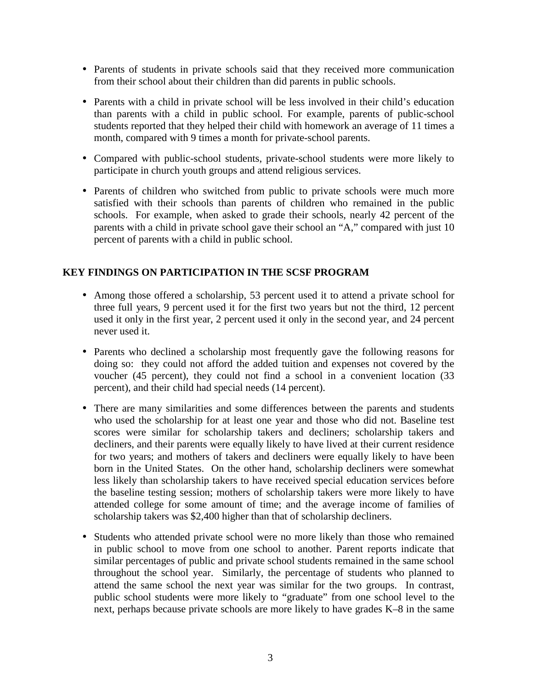- Parents of students in private schools said that they received more communication from their school about their children than did parents in public schools.
- Parents with a child in private school will be less involved in their child's education than parents with a child in public school. For example, parents of public-school students reported that they helped their child with homework an average of 11 times a month, compared with 9 times a month for private-school parents.
- Compared with public-school students, private-school students were more likely to participate in church youth groups and attend religious services.
- Parents of children who switched from public to private schools were much more satisfied with their schools than parents of children who remained in the public schools. For example, when asked to grade their schools, nearly 42 percent of the parents with a child in private school gave their school an "A," compared with just 10 percent of parents with a child in public school.

## **KEY FINDINGS ON PARTICIPATION IN THE SCSF PROGRAM**

- Among those offered a scholarship, 53 percent used it to attend a private school for three full years, 9 percent used it for the first two years but not the third, 12 percent used it only in the first year, 2 percent used it only in the second year, and 24 percent never used it.
- Parents who declined a scholarship most frequently gave the following reasons for doing so: they could not afford the added tuition and expenses not covered by the voucher (45 percent), they could not find a school in a convenient location (33 percent), and their child had special needs (14 percent).
- There are many similarities and some differences between the parents and students who used the scholarship for at least one year and those who did not. Baseline test scores were similar for scholarship takers and decliners; scholarship takers and decliners, and their parents were equally likely to have lived at their current residence for two years; and mothers of takers and decliners were equally likely to have been born in the United States. On the other hand, scholarship decliners were somewhat less likely than scholarship takers to have received special education services before the baseline testing session; mothers of scholarship takers were more likely to have attended college for some amount of time; and the average income of families of scholarship takers was \$2,400 higher than that of scholarship decliners.
- Students who attended private school were no more likely than those who remained in public school to move from one school to another. Parent reports indicate that similar percentages of public and private school students remained in the same school throughout the school year. Similarly, the percentage of students who planned to attend the same school the next year was similar for the two groups. In contrast, public school students were more likely to "graduate" from one school level to the next, perhaps because private schools are more likely to have grades K–8 in the same